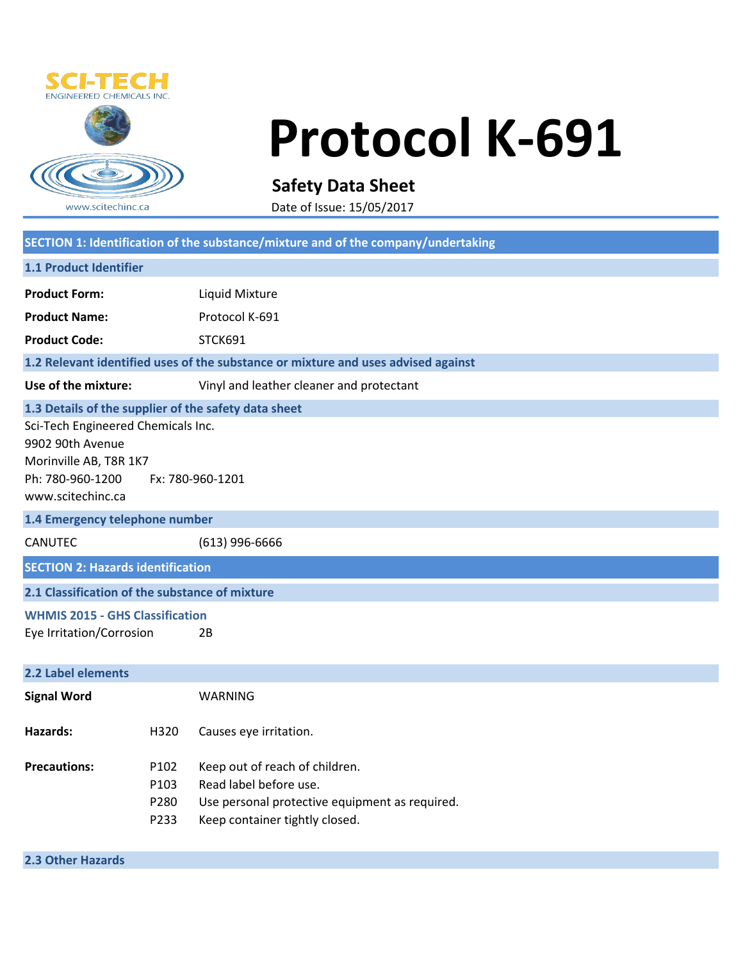

## **Protocol K-691**

**Safety Data Sheet**

Date of Issue: 15/05/2017

|                                                                                                                                               |                              | SECTION 1: Identification of the substance/mixture and of the company/undertaking                                                            |  |
|-----------------------------------------------------------------------------------------------------------------------------------------------|------------------------------|----------------------------------------------------------------------------------------------------------------------------------------------|--|
| 1.1 Product Identifier                                                                                                                        |                              |                                                                                                                                              |  |
| <b>Product Form:</b>                                                                                                                          |                              | Liquid Mixture                                                                                                                               |  |
| <b>Product Name:</b>                                                                                                                          |                              | Protocol K-691                                                                                                                               |  |
| <b>Product Code:</b>                                                                                                                          |                              | STCK691                                                                                                                                      |  |
| 1.2 Relevant identified uses of the substance or mixture and uses advised against                                                             |                              |                                                                                                                                              |  |
| Use of the mixture:                                                                                                                           |                              | Vinyl and leather cleaner and protectant                                                                                                     |  |
| 1.3 Details of the supplier of the safety data sheet                                                                                          |                              |                                                                                                                                              |  |
| Sci-Tech Engineered Chemicals Inc.<br>9902 90th Avenue<br>Morinville AB, T8R 1K7<br>Ph: 780-960-1200<br>Fx: 780-960-1201<br>www.scitechinc.ca |                              |                                                                                                                                              |  |
| 1.4 Emergency telephone number                                                                                                                |                              |                                                                                                                                              |  |
| <b>CANUTEC</b>                                                                                                                                |                              | (613) 996-6666                                                                                                                               |  |
| <b>SECTION 2: Hazards identification</b>                                                                                                      |                              |                                                                                                                                              |  |
| 2.1 Classification of the substance of mixture                                                                                                |                              |                                                                                                                                              |  |
| <b>WHMIS 2015 - GHS Classification</b>                                                                                                        |                              |                                                                                                                                              |  |
| Eye Irritation/Corrosion                                                                                                                      |                              | 2B                                                                                                                                           |  |
| 2.2 Label elements                                                                                                                            |                              |                                                                                                                                              |  |
| <b>Signal Word</b>                                                                                                                            |                              | <b>WARNING</b>                                                                                                                               |  |
| Hazards:                                                                                                                                      | H320                         | Causes eye irritation.                                                                                                                       |  |
| <b>Precautions:</b>                                                                                                                           | P102<br>P103<br>P280<br>P233 | Keep out of reach of children.<br>Read label before use.<br>Use personal protective equipment as required.<br>Keep container tightly closed. |  |

**2.3 Other Hazards**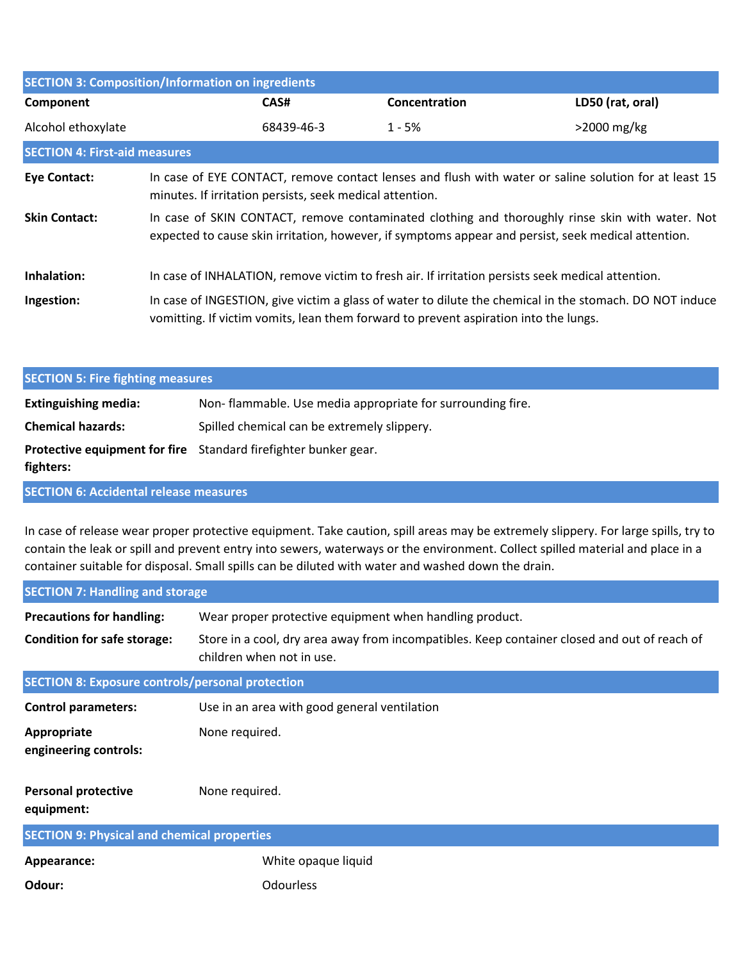| <b>SECTION 3: Composition/Information on ingredients</b> |                                                                                                                                                                                                        |            |                                                                                                                                                                                                 |                  |  |
|----------------------------------------------------------|--------------------------------------------------------------------------------------------------------------------------------------------------------------------------------------------------------|------------|-------------------------------------------------------------------------------------------------------------------------------------------------------------------------------------------------|------------------|--|
| Component                                                |                                                                                                                                                                                                        | CAS#       | Concentration                                                                                                                                                                                   | LD50 (rat, oral) |  |
| Alcohol ethoxylate                                       |                                                                                                                                                                                                        | 68439-46-3 | $1 - 5%$                                                                                                                                                                                        | $>2000$ mg/kg    |  |
| <b>SECTION 4: First-aid measures</b>                     |                                                                                                                                                                                                        |            |                                                                                                                                                                                                 |                  |  |
| <b>Eye Contact:</b>                                      | In case of EYE CONTACT, remove contact lenses and flush with water or saline solution for at least 15<br>minutes. If irritation persists, seek medical attention.                                      |            |                                                                                                                                                                                                 |                  |  |
| <b>Skin Contact:</b>                                     | In case of SKIN CONTACT, remove contaminated clothing and thoroughly rinse skin with water. Not<br>expected to cause skin irritation, however, if symptoms appear and persist, seek medical attention. |            |                                                                                                                                                                                                 |                  |  |
| Inhalation:                                              |                                                                                                                                                                                                        |            | In case of INHALATION, remove victim to fresh air. If irritation persists seek medical attention.                                                                                               |                  |  |
| Ingestion:                                               |                                                                                                                                                                                                        |            | In case of INGESTION, give victim a glass of water to dilute the chemical in the stomach. DO NOT induce<br>vomitting. If victim vomits, lean them forward to prevent aspiration into the lungs. |                  |  |

| <b>SECTION 5: Fire fighting measures</b> |                                                                 |  |
|------------------------------------------|-----------------------------------------------------------------|--|
| <b>Extinguishing media:</b>              | Non-flammable. Use media appropriate for surrounding fire.      |  |
| <b>Chemical hazards:</b>                 | Spilled chemical can be extremely slippery.                     |  |
| fighters:                                | Protective equipment for fire Standard firefighter bunker gear. |  |

**SECTION 6: Accidental release measures**

In case of release wear proper protective equipment. Take caution, spill areas may be extremely slippery. For large spills, try to contain the leak or spill and prevent entry into sewers, waterways or the environment. Collect spilled material and place in a container suitable for disposal. Small spills can be diluted with water and washed down the drain.

| <b>SECTION 7: Handling and storage</b>                  |                                                                                                                           |  |
|---------------------------------------------------------|---------------------------------------------------------------------------------------------------------------------------|--|
| <b>Precautions for handling:</b>                        | Wear proper protective equipment when handling product.                                                                   |  |
| <b>Condition for safe storage:</b>                      | Store in a cool, dry area away from incompatibles. Keep container closed and out of reach of<br>children when not in use. |  |
| <b>SECTION 8: Exposure controls/personal protection</b> |                                                                                                                           |  |
| <b>Control parameters:</b>                              | Use in an area with good general ventilation                                                                              |  |
| Appropriate<br>engineering controls:                    | None required.                                                                                                            |  |
| <b>Personal protective</b><br>equipment:                | None required.                                                                                                            |  |
| <b>SECTION 9: Physical and chemical properties</b>      |                                                                                                                           |  |
| Appearance:                                             | White opaque liquid                                                                                                       |  |
| Odour:                                                  | Odourless                                                                                                                 |  |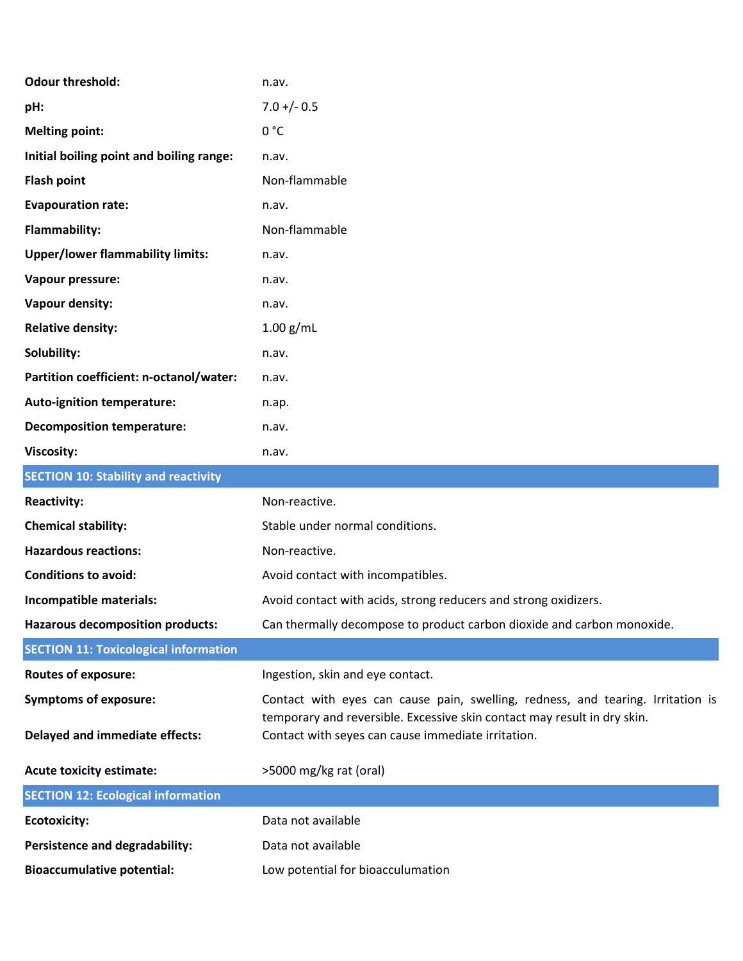| <b>Odour threshold:</b>                      | n.av.                                                                                                                          |
|----------------------------------------------|--------------------------------------------------------------------------------------------------------------------------------|
| pH:                                          | $7.0 +/- 0.5$                                                                                                                  |
| <b>Melting point:</b>                        | 0 °C                                                                                                                           |
| Initial boiling point and boiling range:     | n.av.                                                                                                                          |
| <b>Flash point</b>                           | Non-flammable                                                                                                                  |
| <b>Evapouration rate:</b>                    | n.av.                                                                                                                          |
| Flammability:                                | Non-flammable                                                                                                                  |
| <b>Upper/lower flammability limits:</b>      | n.av.                                                                                                                          |
| Vapour pressure:                             | n.av.                                                                                                                          |
| Vapour density:                              | n.av.                                                                                                                          |
| <b>Relative density:</b>                     | $1.00$ g/mL                                                                                                                    |
| Solubility:                                  | n.av.                                                                                                                          |
| Partition coefficient: n-octanol/water:      | n.av.                                                                                                                          |
| <b>Auto-ignition temperature:</b>            | n.ap.                                                                                                                          |
| <b>Decomposition temperature:</b>            | n.av.                                                                                                                          |
| <b>Viscosity:</b>                            | n.av.                                                                                                                          |
| <b>SECTION 10: Stability and reactivity</b>  |                                                                                                                                |
| <b>Reactivity:</b>                           | Non-reactive.                                                                                                                  |
| <b>Chemical stability:</b>                   | Stable under normal conditions.                                                                                                |
| <b>Hazardous reactions:</b>                  | Non-reactive.                                                                                                                  |
| <b>Conditions to avoid:</b>                  | Avoid contact with incompatibles.                                                                                              |
| Incompatible materials:                      | Avoid contact with acids, strong reducers and strong oxidizers.                                                                |
| <b>Hazarous decomposition products:</b>      | Can thermally decompose to product carbon dioxide and carbon monoxide.                                                         |
| <b>SECTION 11: Toxicological information</b> |                                                                                                                                |
| <b>Routes of exposure:</b>                   | Ingestion, skin and eye contact.                                                                                               |
| <b>Symptoms of exposure:</b>                 | Contact with eyes can cause pain, swelling, redness, and tearing. Irritation is                                                |
| <b>Delayed and immediate effects:</b>        | temporary and reversible. Excessive skin contact may result in dry skin.<br>Contact with seyes can cause immediate irritation. |
| <b>Acute toxicity estimate:</b>              | >5000 mg/kg rat (oral)                                                                                                         |
| <b>SECTION 12: Ecological information</b>    |                                                                                                                                |
| <b>Ecotoxicity:</b>                          | Data not available                                                                                                             |
| Persistence and degradability:               | Data not available                                                                                                             |
| <b>Bioaccumulative potential:</b>            | Low potential for bioacculumation                                                                                              |